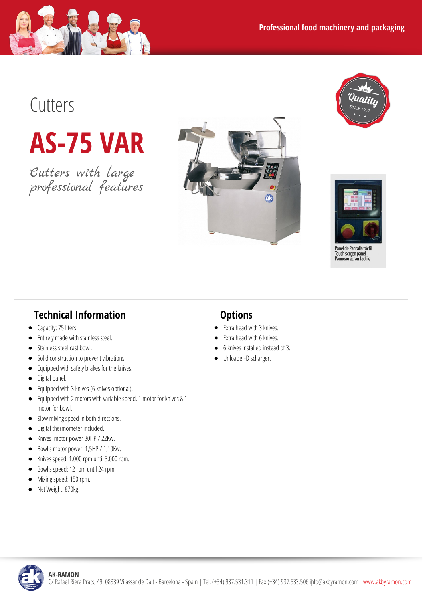

**AS-75 VAR**

Cutters with large professional features





Panel de Pantalla tácti ranerue rantalla tact<br>Touch screen panel<br>Panneau écran tactile

## **Technical Information**

- Capacity: 75 liters.  $\bullet$
- Entirely made with stainless steel.  $\bullet$
- Stainless steel cast bowl.  $\bullet$
- Solid construction to prevent vibrations.  $\bullet$
- $\bullet$ Equipped with safety brakes for the knives.
- Digital panel.  $\bullet$
- Equipped with 3knives (6knives optional).  $\bullet$
- Equipped with 2 motors with variablespeed,1 motor for knives & 1  $\bullet$ motor for bowl.
- Slow mixing speed in both directions.  $\bullet$
- Digital thermometer included.  $\bullet$
- $\bullet$ Knives' motor power 30HP / 22Kw.
- Bowl's motor power: 1,5HP / 1,10Kw.  $\bullet$
- Knives speed: 1.000 rpm until 3.000 rpm.
- Bowl's speed: 12 rpm until 24 rpm.
- Mixing speed: 150 rpm.
- Net Weight: 870kg.  $\bullet$

## **Options**

- Extra head with 3knives.
- Extra head with 6 knives.
- 6knives installed instead of3.
- Unloader-Discharger.